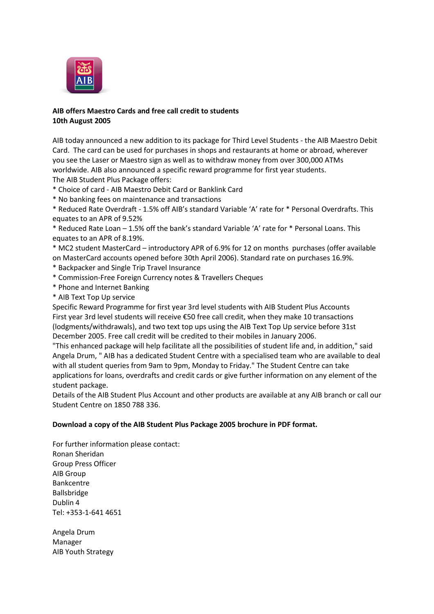

## **AIB offers Maestro Cards and free call credit to students 10th August 2005**

AIB today announced a new addition to its package for Third Level Students - the AIB Maestro Debit Card. The card can be used for purchases in shops and restaurants at home or abroad, wherever you see the Laser or Maestro sign as well as to withdraw money from over 300,000 ATMs worldwide. AIB also announced a specific reward programme for first year students. The AIB Student Plus Package offers:

- \* Choice of card AIB Maestro Debit Card or Banklink Card
- \* No banking fees on maintenance and transactions

\* Reduced Rate Overdraft - 1.5% off AIB's standard Variable 'A' rate for \* Personal Overdrafts. This equates to an APR of 9.52%

\* Reduced Rate Loan – 1.5% off the bank's standard Variable 'A' rate for \* Personal Loans. This equates to an APR of 8.19%.

\* MC2 student MasterCard – introductory APR of 6.9% for 12 on months purchases (offer available on MasterCard accounts opened before 30th April 2006). Standard rate on purchases 16.9%.

- \* Backpacker and Single Trip Travel Insurance
- \* Commission-Free Foreign Currency notes & Travellers Cheques
- \* Phone and Internet Banking
- \* AIB Text Top Up service

Specific Reward Programme for first year 3rd level students with AIB Student Plus Accounts First year 3rd level students will receive €50 free call credit, when they make 10 transactions (lodgments/withdrawals), and two text top ups using the AIB Text Top Up service before 31st December 2005. Free call credit will be credited to their mobiles in January 2006.

"This enhanced package will help facilitate all the possibilities of student life and, in addition," said Angela Drum, " AIB has a dedicated Student Centre with a specialised team who are available to deal with all student queries from 9am to 9pm, Monday to Friday." The Student Centre can take applications for loans, overdrafts and credit cards or give further information on any element of the student package.

Details of the AIB Student Plus Account and other products are available at any AIB branch or call our Student Centre on 1850 788 336.

## **[Download a copy of the AIB Student Plus Package 2005 brochure in PDF format.](http://www.aib.ie/servlet/ContentServer?pagename=AIB_PressOffice/AIB_Download/aib_po_d_download&c=AIB_Download&cid=1126098560068)**

For further information please contact: Ronan Sheridan Group Press Officer AIB Group Bankcentre Ballsbridge Dublin 4 Tel: +353-1-641 4651

Angela Drum Manager AIB Youth Strategy